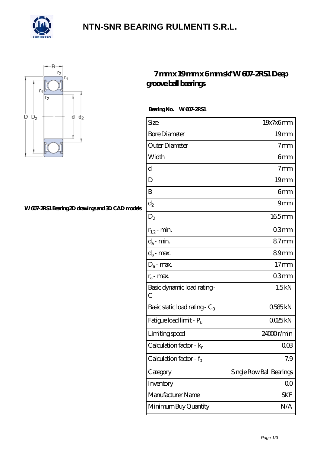

### **[NTN-SNR BEARING RULMENTI S.R.L.](https://m.confidencemenimprov.com)**



#### **[W 607-2RS1 Bearing 2D drawings and 3D CAD models](https://m.confidencemenimprov.com/pic-64974095.html)**

### **[7 mm x 19 mm x 6 mm skf W 607-2RS1 Deep](https://m.confidencemenimprov.com/be-64974095-skf-w-607-2rs1-deep-groove-ball-bearings.html) [groove ball bearings](https://m.confidencemenimprov.com/be-64974095-skf-w-607-2rs1-deep-groove-ball-bearings.html)**

Bearing No. W 607-2RS1

| Size                                | 19x7x6mm                 |
|-------------------------------------|--------------------------|
| <b>Bore Diameter</b>                | 19 <sub>mm</sub>         |
| Outer Diameter                      | 7 <sub>mm</sub>          |
| Width                               | 6mm                      |
| d                                   | 7 <sub>mm</sub>          |
| D                                   | 19 <sub>mm</sub>         |
| B                                   | 6mm                      |
| $\mathrm{d}_2$                      | 9mm                      |
| $\mathrm{D}_2$                      | 165mm                    |
| $r_{1,2}$ - min.                    | 03mm                     |
| $d_a$ - min.                        | 87mm                     |
| $d_a$ - max.                        | 89mm                     |
| $D_a$ - max.                        | 17 <sub>mm</sub>         |
| $r_a$ - max.                        | 03mm                     |
| Basic dynamic load rating-<br>С     | 1.5kN                    |
| Basic static load rating - $C_0$    | 0585kN                   |
| Fatigue load limit - P <sub>u</sub> | QQ25kN                   |
| Limiting speed                      | 24000r/min               |
| Calculation factor - $k_r$          | $00\%$                   |
| Calculation factor - f <sub>0</sub> | 7.9                      |
| Category                            | Single Row Ball Bearings |
| Inventory                           | $00\,$                   |
| Manufacturer Name                   | SKF                      |
| Minimum Buy Quantity                | N/A                      |
|                                     |                          |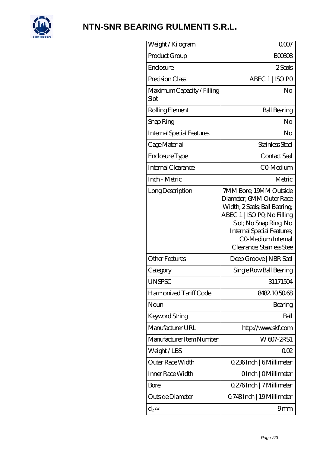

# **[NTN-SNR BEARING RULMENTI S.R.L.](https://m.confidencemenimprov.com)**

| Weight / Kilogram                  | 0007                                                                                                                                                                                                                              |
|------------------------------------|-----------------------------------------------------------------------------------------------------------------------------------------------------------------------------------------------------------------------------------|
| Product Group                      | <b>BOO308</b>                                                                                                                                                                                                                     |
| Enclosure                          | 2 Seals                                                                                                                                                                                                                           |
| Precision Class                    | ABEC 1   ISO PO                                                                                                                                                                                                                   |
| Maximum Capacity / Filling<br>Slot | No                                                                                                                                                                                                                                |
| Rolling Element                    | <b>Ball Bearing</b>                                                                                                                                                                                                               |
| Snap Ring                          | No                                                                                                                                                                                                                                |
| <b>Internal Special Features</b>   | No                                                                                                                                                                                                                                |
| Cage Material                      | Stainless Steel                                                                                                                                                                                                                   |
| Enclosure Type                     | Contact Seal                                                                                                                                                                                                                      |
| Internal Clearance                 | CO-Medium                                                                                                                                                                                                                         |
| Inch - Metric                      | Metric                                                                                                                                                                                                                            |
| Long Description                   | 7MM Bore; 19MM Outside<br>Diameter; 6MM Outer Race<br>Width; 2 Seals; Ball Bearing;<br>ABEC 1   ISO PQ No Filling<br>Slot; No Snap Ring No<br><b>Internal Special Features</b><br>CO Medium Internal<br>Clearance; Stainless Stee |
| <b>Other Features</b>              | Deep Groove   NBR Seal                                                                                                                                                                                                            |
| Category                           | Single Row Ball Bearing                                                                                                                                                                                                           |
| <b>UNSPSC</b>                      | 31171504                                                                                                                                                                                                                          |
| Harmonized Tariff Code             | 8482105068                                                                                                                                                                                                                        |
| Noun                               | Bearing                                                                                                                                                                                                                           |
| Keyword String                     | Ball                                                                                                                                                                                                                              |
| Manufacturer URL                   | http://www.skf.com                                                                                                                                                                                                                |
| Manufacturer Item Number           | W607-2RS1                                                                                                                                                                                                                         |
| Weight/LBS                         | 002                                                                                                                                                                                                                               |
| Outer Race Width                   | 0.236Inch   6Millimeter                                                                                                                                                                                                           |
| Inner Race Width                   | OInch   OMillimeter                                                                                                                                                                                                               |
| Bore                               | 0.276Inch   7 Millimeter                                                                                                                                                                                                          |
| Outside Diameter                   | Q748Inch   19Millimeter                                                                                                                                                                                                           |
| $\mathrm{d}_{2}$                   | 9mm                                                                                                                                                                                                                               |